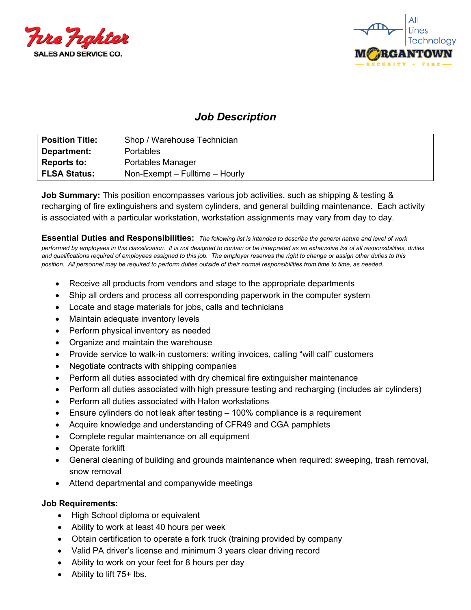



# *Job Description*

| <b>Position Title:</b> | Shop / Warehouse Technician    |
|------------------------|--------------------------------|
| Department:            | <b>Portables</b>               |
| <b>Reports to:</b>     | Portables Manager              |
| <b>FLSA Status:</b>    | Non-Exempt – Fulltime – Hourly |

**Job Summary:** This position encompasses various job activities, such as shipping & testing & recharging of fire extinguishers and system cylinders, and general building maintenance. Each activity is associated with a particular workstation, workstation assignments may vary from day to day.

**Essential Duties and Responsibilities:** *The following list is intended to describe the general nature and level of work performed by employees in this classification. It is not designed to contain or be interpreted as an exhaustive list of all responsibilities, duties and qualifications required of employees assigned to this job. The employer reserves the right to change or assign other duties to this position. All personnel may be required to perform duties outside of their normal responsibilities from time to time, as needed.* 

- Receive all products from vendors and stage to the appropriate departments
- Ship all orders and process all corresponding paperwork in the computer system
- Locate and stage materials for jobs, calls and technicians
- Maintain adequate inventory levels
- Perform physical inventory as needed
- Organize and maintain the warehouse
- Provide service to walk-in customers: writing invoices, calling "will call" customers
- Negotiate contracts with shipping companies
- Perform all duties associated with dry chemical fire extinguisher maintenance
- Perform all duties associated with high pressure testing and recharging (includes air cylinders)
- Perform all duties associated with Halon workstations
- Ensure cylinders do not leak after testing 100% compliance is a requirement
- Acquire knowledge and understanding of CFR49 and CGA pamphlets
- Complete regular maintenance on all equipment
- Operate forklift
- General cleaning of building and grounds maintenance when required: sweeping, trash removal, snow removal
- Attend departmental and companywide meetings

#### **Job Requirements:**

- High School diploma or equivalent
- Ability to work at least 40 hours per week
- Obtain certification to operate a fork truck (training provided by company
- Valid PA driver's license and minimum 3 years clear driving record
- Ability to work on your feet for 8 hours per day
- Ability to lift 75+ lbs.